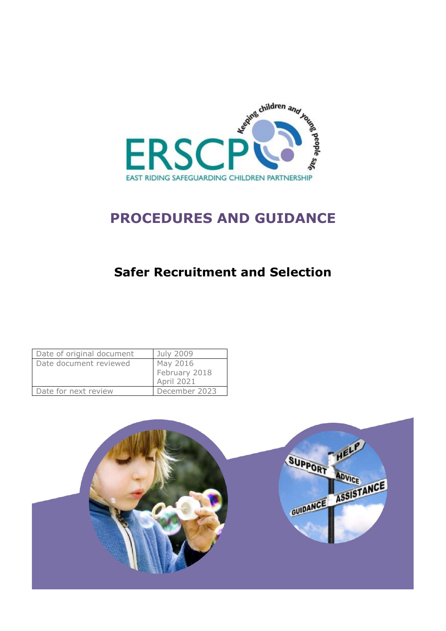

# **PROCEDURES AND GUIDANCE**

# **Safer Recruitment and Selection**

| Date of original document | July 2009         |
|---------------------------|-------------------|
| Date document reviewed    | May 2016          |
|                           | February 2018     |
|                           | <b>April 2021</b> |
| Date for next review      | December 2023     |

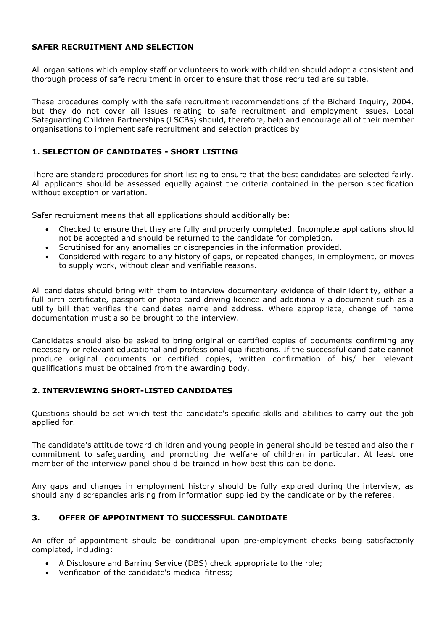#### **SAFER RECRUITMENT AND SELECTION**

All organisations which employ staff or volunteers to work with children should adopt a consistent and thorough process of safe recruitment in order to ensure that those recruited are suitable.

These procedures comply with the safe recruitment recommendations of the Bichard Inquiry, 2004, but they do not cover all issues relating to safe recruitment and employment issues. Local Safeguarding Children Partnerships (LSCBs) should, therefore, help and encourage all of their member organisations to implement safe recruitment and selection practices by

# **1. SELECTION OF CANDIDATES - SHORT LISTING**

There are standard procedures for short listing to ensure that the best candidates are selected fairly. All applicants should be assessed equally against the criteria contained in the person specification without exception or variation.

Safer recruitment means that all applications should additionally be:

- Checked to ensure that they are fully and properly completed. Incomplete applications should not be accepted and should be returned to the candidate for completion.
- Scrutinised for any anomalies or discrepancies in the information provided.
- Considered with regard to any history of gaps, or repeated changes, in employment, or moves to supply work, without clear and verifiable reasons.

All candidates should bring with them to interview documentary evidence of their identity, either a full birth certificate, passport or photo card driving licence and additionally a document such as a utility bill that verifies the candidates name and address. Where appropriate, change of name documentation must also be brought to the interview.

Candidates should also be asked to bring original or certified copies of documents confirming any necessary or relevant educational and professional qualifications. If the successful candidate cannot produce original documents or certified copies, written confirmation of his/ her relevant qualifications must be obtained from the awarding body.

# **2. INTERVIEWING SHORT-LISTED CANDIDATES**

Questions should be set which test the candidate's specific skills and abilities to carry out the job applied for.

The candidate's attitude toward children and young people in general should be tested and also their commitment to safeguarding and promoting the welfare of children in particular. At least one member of the interview panel should be trained in how best this can be done.

Any gaps and changes in employment history should be fully explored during the interview, as should any discrepancies arising from information supplied by the candidate or by the referee.

#### **3. OFFER OF APPOINTMENT TO SUCCESSFUL CANDIDATE**

An offer of appointment should be conditional upon pre-employment checks being satisfactorily completed, including:

- A Disclosure and Barring Service (DBS) check appropriate to the role;
- Verification of the candidate's medical fitness;